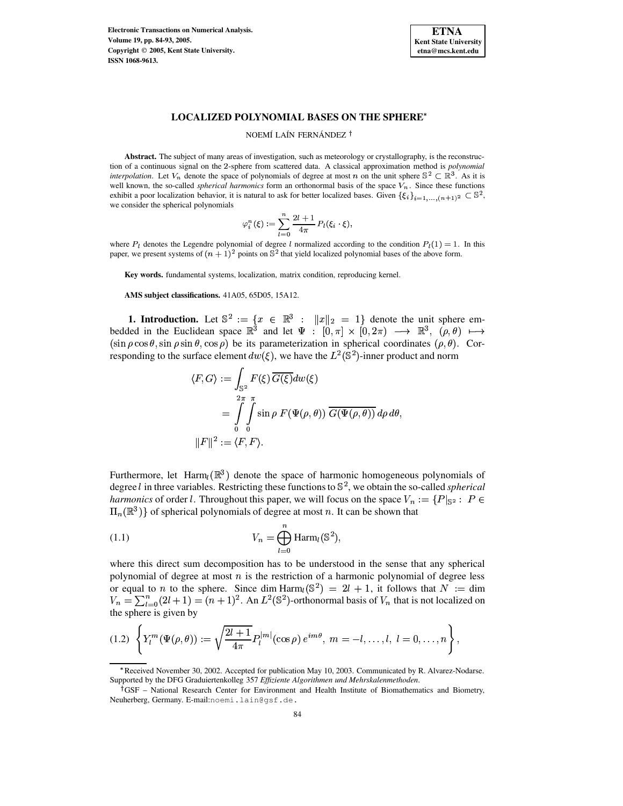**Electronic Transactions on Numerical Analysis. Volume 19, pp. 84-93, 2005. Copyright 2005, Kent State University. ISSN 1068-9613.**



### **LOCALIZED POLYNOMIAL BASES ON THE SPHERE**

### NOEMÍ LAÍN FERNÁNDEZ<sup>†</sup>

**Abstract.** The subject of many areas of investigation, such as meteorology or crystallography, is the reconstruction of a continuous signal on the 2-sphere from scattered data. A classical approximation method is *polynomial interpolation*. Let  $V_n$  denote the space of polynomials of degree at most n on the unit sphere  $\mathbb{S}^2 \subset \mathbb{R}^3$ . As it is well known, the so-called *spherical harmonics* form an orthonormal basis of the space  $V_n$ . Since these functions exhibit a poor localization behavior, it is natural to ask for better localized bases. Given  $\{\xi_i\}_{i=1,\ldots,(n+1)^2} \subset \mathbb{S}^2$ , we consider the spherical polynomials

$$
\varphi_i^n(\xi) := \sum_{l=0}^n \frac{2l+1}{4\pi} P_l(\xi_i \cdot \xi),
$$

where  $P_l$  denotes the Legendre polynomial of degree l normalized according to the condition  $P_l(1) = 1$ . In this paper, we present systems of  $(n + 1)^2$  points on  $\mathbb{S}^2$  that yield localized polynomial bases of the above form.

**Key words.** fundamental systems, localization, matrix condition, reproducing kernel.

**AMS subject classifications.** 41A05, 65D05, 15A12.

**1. Introduction.** Let  $\mathbb{S}^2 := \{x \in \mathbb{R}^3 : ||x||_2 = 1\}$  denote the unit sphere embedded in the Euclidean space  $\mathbb{R}^3$  and let  $\Psi : [0,\pi] \times [0,2\pi) \longrightarrow \mathbb{R}^3$ ,  $(\rho,\theta) \longmapsto$  $(\sin \rho \cos \theta, \sin \rho \sin \theta, \cos \rho)$  be its parameterization in spherical coordinates  $(\rho, \theta)$ . Corresponding to the surface element  $dw(\xi)$ , we have the  $L^2(\mathbb{S}^2)$ -inner product and norm

$$
\langle F, G \rangle := \int_{\mathbb{S}^2} F(\xi) \overline{G(\xi)} dw(\xi)
$$
  
= 
$$
\int_{0}^{2\pi} \int_{0}^{\pi} \sin \rho \ F(\Psi(\rho, \theta)) \overline{G(\Psi(\rho, \theta))} d\rho d\theta,
$$
  

$$
||F||^2 := \langle F, F \rangle.
$$

Furthermore, let Harm $_k(\mathbb{R}^3)$  denote the space of harmonic homogeneous polynomials of degree *l* in three variables. Restricting these functions to  $\mathbb{S}^2$ , we obtain the so-called *spherical harmonics* of order *l*. Throughout this paper, we will focus on the space  $V_n := \{P|_{\mathbb{S}^2} : P \in$  $\Pi_n(\mathbb{R}^3)$  of spherical polynomials of degree at most n. It can be shown that

<span id="page-0-0"></span>(1.1) 
$$
V_n = \bigoplus_{l=0}^n \text{Harm}_l(\mathbb{S}^2),
$$

where this direct sum decomposition has to be understood in the sense that any spherical polynomial of degree at most  $n$  is the restriction of a harmonic polynomial of degree less or equal to *n* to the sphere. Since dim Harm  $\binom{S^2}{e} = 2l + 1$ , it follows that  $N :=$  dim  $V_n = \sum_{l=0}^{n} (2l+1) = (n+1)^2$ . An  $L^2(\mathbb{S}^2)$ -orthonormal basis of  $V_n$  that is not localized on the sphere is given by

<span id="page-0-1"></span>
$$
(1.2) \left\{ Y_l^m(\Psi(\rho,\theta)) := \sqrt{\frac{2l+1}{4\pi}} P_l^{|m|}(\cos \rho) e^{im\theta}, \ m = -l,\ldots,l, \ l = 0,\ldots,n \right\},\
$$

<sup>\*</sup> Received November 30, 2002. Accepted for publication May 10, 2003. Communicated by R. Alvarez-Nodarse. Supported by the DFG Graduiertenkolleg 357 *Effiziente Algorithmen und Mehrskalenmethoden*.

<sup>&</sup>lt;sup>†</sup>GSF – National Research Center for Environment and Health Institute of Biomathematics and Biometry, Neuherberg, Germany. E-mail:noemi.lain@gsf.de.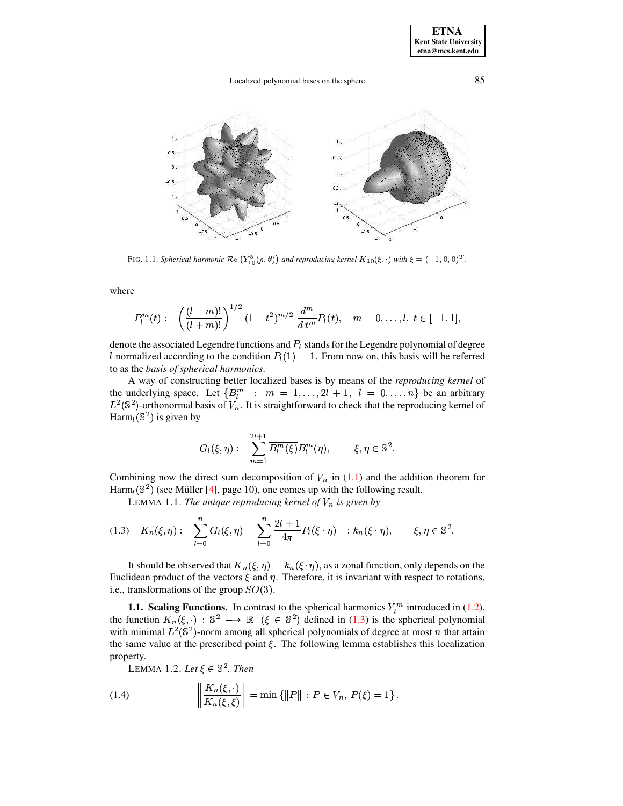### Localized polynomial bases on the sphere

85



FIG. 1.1. Spherical harmonic  $\Re (Y_{10}^5(\rho,\theta))$  and reproducing kernel  $K_{10}(\xi, \cdot)$  with  $\xi = (-1,0,0)^T$ .

where

$$
P_l^m(t) := \left(\frac{(l-m)!}{(l+m)!}\right)^{1/2} (1-t^2)^{m/2} \frac{d^m}{dt^m} P_l(t), \quad m = 0, \ldots, l, \ t \in [-1, 1]
$$

denote the associated Legendre functions and  $P_l$  stands for the Legendre polynomial of degree l normalized according to the condition  $P_l(1) = 1$ . From now on, this basis will be referred to as the basis of spherical harmonics.

A way of constructing better localized bases is by means of the reproducing kernel of the underlying space. Let  $\{B_l^m : m = 1, ..., 2l + 1, l = 0, ..., n\}$  be an arbitrary  $L^2(\mathbb{S}^2)$ -orthonormal basis of  $V_n$ . It is straightforward to check that the reproducing kernel of Harm<sub>l</sub>( $\mathbb{S}^2$ ) is given by

$$
G_l(\xi, \eta) := \sum_{m=1}^{2l+1} \overline{B_l^m(\xi)} B_l^m(\eta), \qquad \xi, \eta \in \mathbb{S}^2.
$$

Combining now the direct sum decomposition of  $V_n$  in (1.1) and the addition theorem for Harm<sub>l</sub>( $\mathbb{S}^2$ ) (see Müller [4], page 10), one comes up with the following result.

LEMMA 1.1. The unique reproducing kernel of  $V_n$  is given by

<span id="page-1-0"></span>
$$
(1.3) \quad K_n(\xi, \eta) := \sum_{l=0}^n G_l(\xi, \eta) = \sum_{l=0}^n \frac{2l+1}{4\pi} P_l(\xi \cdot \eta) =: k_n(\xi \cdot \eta), \qquad \xi, \eta \in \mathbb{S}^2.
$$

It should be observed that  $K_n(\xi, \eta) = k_n(\xi \cdot \eta)$ , as a zonal function, only depends on the Euclidean product of the vectors  $\xi$  and  $\eta$ . Therefore, it is invariant with respect to rotations, i.e., transformations of the group  $SO(3)$ .

**1.1. Scaling Functions.** In contrast to the spherical harmonics  $Y_l^m$  introduced in (1.2), the function  $K_n(\xi, \cdot) : \mathbb{S}^2 \longrightarrow \mathbb{R}$  ( $\xi \in \mathbb{S}^2$ ) defined in (1.3) is the spherical polynomial with minimal  $L^2(\mathbb{S}^2)$ -norm among all spherical polynomials of degree at most *n* that attain the same value at the prescribed point  $\xi$ . The following lemma establishes this localization property.

LEMMA 1.2. Let  $\xi \in \mathbb{S}^2$ . Then

(1.4) 
$$
\left\| \frac{K_n(\xi, \cdot)}{K_n(\xi, \xi)} \right\| = \min \{ \|P\| : P \in V_n, P(\xi) = 1 \}.
$$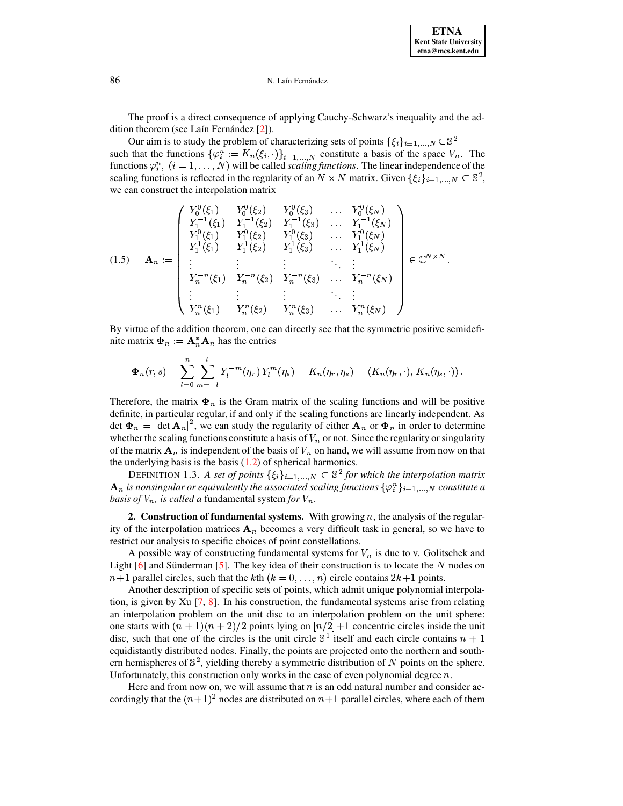#### N. Laín Fernández

The proof is a direct consequence of applying Cauchy-Schwarz's inequality and the addition theorem (see Laín Fernández [2]).

Our aim is to study the problem of characterizing sets of points  $\{\xi_i\}_{i=1,...,N} \subset \mathbb{S}^2$ such that the functions  $\{\varphi_i^n := K_n(\xi_i, \cdot)\}_{i=1,\dots,N}$  constitute a basis of the space  $V_n$ . The functions  $\varphi_i^n$ ,  $(i = 1, ..., N)$  will be called *scaling functions*. The linear independence of the scaling functions is reflected in the regularity of an  $N \times N$  matrix. Given  $\{\xi_i\}_{i=1,...,N} \subset \mathbb{S}^2$ , we can construct the interpolation matrix

<span id="page-2-0"></span>
$$
(1.5) \quad \mathbf{A}_{n} := \begin{pmatrix} Y_{0}^{0}(\xi_{1}) & Y_{0}^{0}(\xi_{2}) & Y_{0}^{0}(\xi_{3}) & \dots & Y_{0}^{0}(\xi_{N}) \\ Y_{1}^{-1}(\xi_{1}) & Y_{1}^{-1}(\xi_{2}) & Y_{1}^{-1}(\xi_{3}) & \dots & Y_{1}^{-1}(\xi_{N}) \\ Y_{1}^{0}(\xi_{1}) & Y_{1}^{0}(\xi_{2}) & Y_{1}^{0}(\xi_{3}) & \dots & Y_{1}^{0}(\xi_{N}) \\ Y_{1}^{1}(\xi_{1}) & Y_{1}^{1}(\xi_{2}) & Y_{1}^{1}(\xi_{3}) & \dots & Y_{1}^{1}(\xi_{N}) \\ \vdots & \vdots & \vdots & \ddots & \vdots \\ Y_{n}^{-n}(\xi_{1}) & Y_{n}^{-n}(\xi_{2}) & Y_{n}^{-n}(\xi_{3}) & \dots & Y_{n}^{-n}(\xi_{N}) \\ \vdots & \vdots & \vdots & \ddots & \vdots \\ Y_{n}^{n}(\xi_{1}) & Y_{n}^{n}(\xi_{2}) & Y_{n}^{n}(\xi_{3}) & \dots & Y_{n}^{n}(\xi_{N}) \end{pmatrix} \in \mathbb{C}^{N \times N}.
$$

By virtue of the addition theorem, one can directly see that the symmetric positive semidefinite matrix  $\mathbf{\Phi}_n := \mathbf{A}_n^* \mathbf{A}_n$  has the entries

$$
\Phi_n(r,s) = \sum_{l=0}^n \sum_{m=-l}^l Y_l^{-m}(\eta_r) Y_l^m(\eta_s) = K_n(\eta_r, \eta_s) = \langle K_n(\eta_r, \cdot), K_n(\eta_s, \cdot) \rangle
$$

Therefore, the matrix  $\Phi_n$  is the Gram matrix of the scaling functions and will be positive definite, in particular regular, if and only if the scaling functions are linearly independent. As det  $\Phi_n = |\text{det } \mathbf{A}_n|^2$ , we can study the regularity of either  $\mathbf{A}_n$  or  $\Phi_n$  in order to determine whether the scaling functions constitute a basis of  $V_n$  or not. Since the regularity or singularity of the matrix  $A_n$  is independent of the basis of  $V_n$  on hand, we will assume from now on that the underlying basis is the basis  $(1.2)$  of spherical harmonics.

DEFINITION 1.3. A set of points  $\{\xi_i\}_{i=1,...,N} \subset \mathbb{S}^2$  for which the interpolation matrix  $\mathbf{A}_n$  is nonsingular or equivalently the associated scaling functions  $\{\varphi_i^n\}_{i=1,...,N}$  constitute a basis of  $V_n$ , is called a fundamental system for  $V_n$ .

2. Construction of fundamental systems. With growing  $n$ , the analysis of the regularity of the interpolation matrices  $A_n$  becomes a very difficult task in general, so we have to restrict our analysis to specific choices of point constellations.

A possible way of constructing fundamental systems for  $V_n$  is due to v. Golitschek and Light  $[6]$  and Sünderman  $[5]$ . The key idea of their construction is to locate the N nodes on  $n+1$  parallel circles, such that the kth  $(k = 0, \ldots, n)$  circle contains  $2k+1$  points.

Another description of specific sets of points, which admit unique polynomial interpolation, is given by  $Xu$  [7, 8]. In his construction, the fundamental systems arise from relating an interpolation problem on the unit disc to an interpolation problem on the unit sphere: one starts with  $(n + 1)(n + 2)/2$  points lying on  $\lfloor n/2 \rfloor + 1$  concentric circles inside the unit disc, such that one of the circles is the unit circle  $\mathbb{S}^1$  itself and each circle contains  $n + 1$ equidistantly distributed nodes. Finally, the points are projected onto the northern and southern hemispheres of  $\mathbb{S}^2$ , yielding thereby a symmetric distribution of N points on the sphere. Unfortunately, this construction only works in the case of even polynomial degree  $n$ .

Here and from now on, we will assume that  $n$  is an odd natural number and consider accordingly that the  $(n+1)^2$  nodes are distributed on  $n+1$  parallel circles, where each of them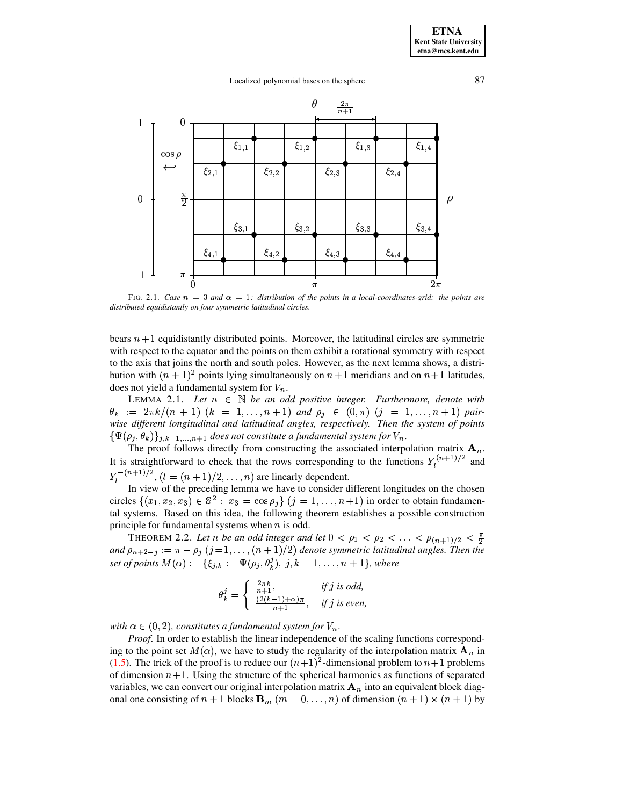## Localized polynomial bases on the sphere 87



FIG. 2.1. *Case*  $n = 3$  *and*  $\alpha = 1$ *: distribution of the points in a local-coordinates-grid: the points are distributed equidistantly on four symmetric latitudinal circles.*

bears  $n+1$  equidistantly distributed points. Moreover, the latitudinal circles are symmetric with respect to the equator and the points on them exhibit a rotational symmetry with respect to the axis that joins the north and south poles. However, as the next lemma shows, a distribution with  $(n + 1)^2$  points lying simultaneously on  $n+1$  meridians and on  $n+1$  latitudes, does not yield a fundamental system for  $V_n$ .

<span id="page-3-1"></span>LEMMA 2.1. Let  $n \in \mathbb{N}$  be an odd positive integer. Furthermore, denote with  $\theta_k$  :=  $2\pi k/(n+1)$  ( $k = 1,...,n+1$ ) and  $\rho_j \in (0,\pi)$  ( $j = 1,...,n+1$ ) pair*wise different longitudinal and latitudinal angles, respectively. Then the system of points*  $\{\Psi(\rho_j, \theta_k)\}_{j,k=1,\dots,n+1}$  does not constitute a fundamental system for  $V_n$ .

The proof follows directly from constructing the associated interpolation matrix  $\mathbf{A}_n$ . Ine proof follows directly from constructing the associated interpolation matrix  $A_n$ .<br>It is straightforward to check that the rows corresponding to the functions  $Y_l^{(n+1)/2}$  and It is straightforward to check that the rows corresponding to the functions  $Y_l^{(n+1)/2}$  and  $n+1)/2$  , ,  $\mathcal{L}_l^{-(n+1)/2}$ ,  $(l = (n+1)/2, \ldots, n)$  are linearly dependent.

In view of the preceding lemma we have to consider different longitudes on the chosen circles  $\{(x_1, x_2, x_3) \in \mathbb{S}^2 : x_3 = \cos \rho_j\}$   $(j = 1, ..., n+1)$  in order to obtain fundamenprinciple for fundamental systems when  $n$  is odd. tal systems. Based on this idea, the following theorem establishes a possible construction

THEOREM 2.2. Let *n* be an odd integer and let  $0 < \rho_1 < \rho_2 < \ldots < \rho_{(n+1)/2}$  $\frac{1}{2}$  <  $\frac{\rho_2}{\rho_3}$  <  $\ldots$  <  $\rho_{(n+1)/2}$  <  $\frac{\pi}{2}$ <br>tric latitudinal angles. Then the and  $\rho_{n+2-j} := \pi - \rho_j$  ( $j = 1, ..., (n+1)/2$ ) denote symmetric latitudinal angles. Then the *set of points*  $M(\alpha) := \{\xi_{j,k} := \Psi(\rho_j, \theta_k^j), j, k = 1, ..., n + 1\}$ , where<br> $\int \frac{2\pi k}{\beta}$  *if i is add* 

<span id="page-3-0"></span>
$$
\theta_k^j = \begin{cases} \frac{2\pi k}{n+1}, & \text{if } j \text{ is odd,} \\ \frac{(2(k-1)+\alpha)\pi}{n+1}, & \text{if } j \text{ is even,} \end{cases}
$$

with  $\alpha \in (0, 2)$ , constitutes a fundamental system for  $V_n$ .

*Proof*. In order to establish the linear independence of the scaling functions corresponding to the point set  $M(\alpha)$ , we have to study the regularity of the interpolation matrix  $\mathbf{A}_n$  in [\(1.5\)](#page-2-0). The trick of the proof is to reduce our  $(n+1)^2$ -dimensional problem to  $n+1$  problems of dimension  $n+1$ . Using the structure of the spherical harmonics as functions of separated variables, we can convert our original interpolation matrix  $A_n$  into an equivalent block diagonal one consisting of  $n + 1$  blocks  $\mathbf{B}_m$  ( $m = 0, \ldots, n$ ) of dimension  $(n + 1) \times (n + 1)$  by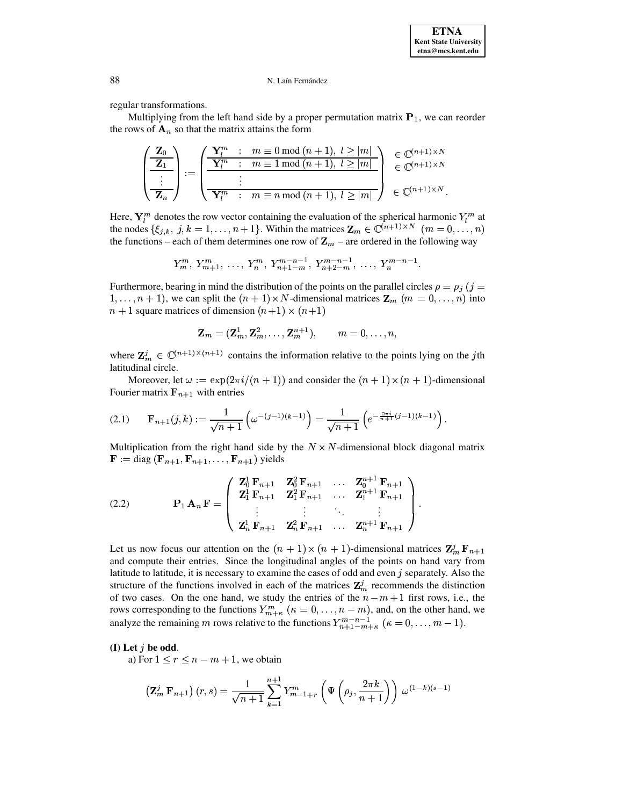### N. Laín Fernández

regular transformations.

Multiplying from the left hand side by a proper permutation matrix  $P_1$ , we can reorder the rows of  $A_n$  so that the matrix attains the form

$$
\left(\begin{array}{c}\n\mathbf{Z}_0 \\
\hline\n\mathbf{Z}_1 \\
\hline\n\vdots \\
\hline\n\mathbf{Z}_n\n\end{array}\right) := \left(\begin{array}{ccc}\n\mathbf{Y}_l^m & : & m \equiv 0 \mod(n+1), \ l \ge |m| \\
\hline\n\mathbf{Y}_l^m & : & m \equiv 1 \mod(n+1), \ l \ge |m| \\
\hline\n\vdots & & \\
\hline\n\mathbf{Y}_l^m & : & m \equiv n \mod(n+1), \ l \ge |m| \\
\hline\n\end{array}\right) \begin{array}{c}\n\in \mathbb{C}^{(n+1) \times N} \\
\in \mathbb{C}^{(n+1) \times N} \\
\in \mathbb{C}^{(n+1) \times N}.\n\end{array}
$$

Here,  $\mathbf{Y}_l^m$  denotes the row vector containing the evaluation of the spherical harmonic  $Y_l^m$  at the nodes  $\{\xi_{j,k}, j,k = 1, ..., n+1\}$ . Within the matrices  $\mathbf{Z}_m \in \mathbb{C}^{(n+1)\times N}$   $(m = 0, ..., n)$ the functions – each of them determines one row of  $\mathbf{Z}_m$  – are ordered in the following way

$$
Y_m^m, Y_{m+1}^m, \ldots, Y_n^m, Y_{n+1-m}^{m-n-1}, Y_{n+2-m}^{m-n-1}, \ldots, Y_n^{m-n-1}
$$

Furthermore, bearing in mind the distribution of the points on the parallel circles  $\rho = \rho_j$  (j =  $1, \ldots, n + 1$ , we can split the  $(n + 1) \times N$ -dimensional matrices  $\mathbf{Z}_m$   $(m = 0, \ldots, n)$  into  $n+1$  square matrices of dimension  $(n+1) \times (n+1)$ 

$$
\mathbf{Z}_m = (\mathbf{Z}_m^1, \mathbf{Z}_m^2, \dots, \mathbf{Z}_m^{n+1}), \qquad m = 0, \dots, n,
$$

where  $\mathbf{Z}_m^j \in \mathbb{C}^{(n+1)\times (n+1)}$  contains the information relative to the points lying on the jth latitudinal circle.

Moreover, let  $\omega := \exp(2\pi i/(n+1))$  and consider the  $(n+1) \times (n+1)$ -dimensional Fourier matrix  $F_{n+1}$  with entries

$$
(2.1) \qquad \mathbf{F}_{n+1}(j,k) := \frac{1}{\sqrt{n+1}} \left( \omega^{-(j-1)(k-1)} \right) = \frac{1}{\sqrt{n+1}} \left( e^{-\frac{2\pi i}{n+1}(j-1)(k-1)} \right)
$$

Multiplication from the right hand side by the  $N \times N$ -dimensional block diagonal matrix  $\mathbf{F} := \text{diag}\left(\mathbf{F}_{n+1}, \mathbf{F}_{n+1}, \dots, \mathbf{F}_{n+1}\right)$  yields

<span id="page-4-1"></span>(2.2) 
$$
\mathbf{P}_1 \mathbf{A}_n \mathbf{F} = \begin{pmatrix} \mathbf{Z}_0^1 \mathbf{F}_{n+1} & \mathbf{Z}_0^2 \mathbf{F}_{n+1} & \dots & \mathbf{Z}_0^{n+1} \mathbf{F}_{n+1} \\ \mathbf{Z}_1^1 \mathbf{F}_{n+1} & \mathbf{Z}_1^2 \mathbf{F}_{n+1} & \dots & \mathbf{Z}_1^{n+1} \mathbf{F}_{n+1} \\ \vdots & \vdots & \ddots & \vdots \\ \mathbf{Z}_n^1 \mathbf{F}_{n+1} & \mathbf{Z}_n^2 \mathbf{F}_{n+1} & \dots & \mathbf{Z}_n^{n+1} \mathbf{F}_{n+1} \end{pmatrix}
$$

Let us now focus our attention on the  $(n + 1) \times (n + 1)$ -dimensional matrices  $\mathbb{Z}_m^j \mathbb{F}_{n+1}$ and compute their entries. Since the longitudinal angles of the points on hand vary from latitude to latitude, it is necessary to examine the cases of odd and even  $j$  separately. Also the structure of the functions involved in each of the matrices  $\mathbb{Z}_m^j$  recommends the distinction of two cases. On the one hand, we study the entries of the  $n-m+1$  first rows, i.e., the rows corresponding to the functions  $Y_{m+\kappa}^m$  ( $\kappa = 0, \ldots, n-m$ ), and, on the other hand, we analyze the remaining m rows relative to the functions  $Y_{n+1-m+\kappa}^{m-n-1}$  ( $\kappa = 0, \ldots, m-1$ ).

# <span id="page-4-0"></span>(I) Let  $j$  be odd.

a) For  $1 \le r \le n - m + 1$ , we obtain

$$
\left(\mathbf{Z}_{m}^{j} \mathbf{F}_{n+1}\right)(r,s) = \frac{1}{\sqrt{n+1}} \sum_{k=1}^{n+1} Y_{m-1+r}^{m} \left(\Psi\left(\rho_{j}, \frac{2\pi k}{n+1}\right)\right) \omega^{(1-k)(s-1)}
$$

88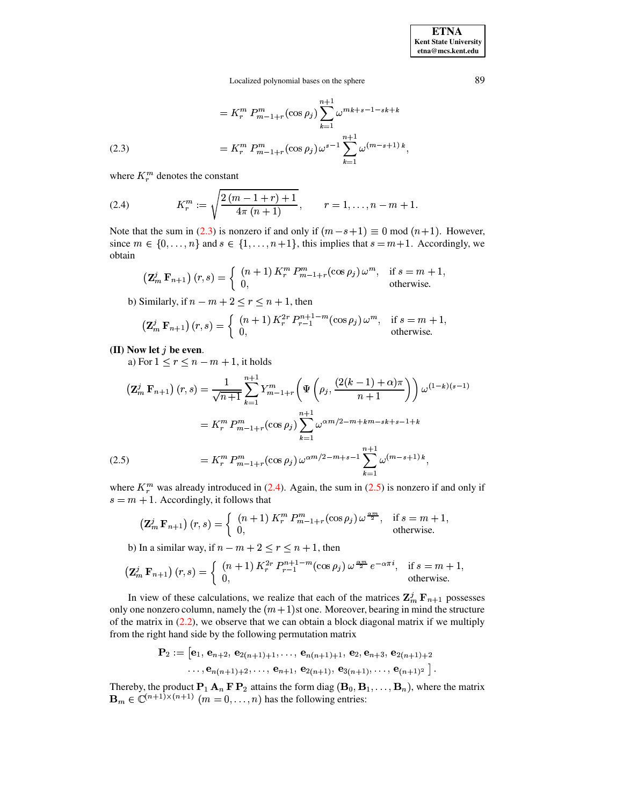Localized polynomial bases on the sphere

(2.3)  

$$
= K_r^m P_{m-1+r}^m(\cos \rho_j) \sum_{k=1}^{n+1} \omega^{mk+s-1-sk+k}
$$

$$
= K_r^m P_{m-1+r}^m(\cos \rho_j) \omega^{s-1} \sum_{k=1}^{n+1} \omega^{(m-s+1)k},
$$

where  $K_r^m$  denotes the constant

<span id="page-5-0"></span>(2.4) 
$$
K_r^m := \sqrt{\frac{2(m-1+r)+1}{4\pi(n+1)}}, \qquad r = 1, \ldots, n-m+1.
$$

Note that the sum in (2.3) is nonzero if and only if  $(m - s + 1) \equiv 0 \mod (n + 1)$ . However, since  $m \in \{0, \ldots, n\}$  and  $s \in \{1, \ldots, n+1\}$ , this implies that  $s = m + 1$ . Accordingly, we obtain

$$
\left(\mathbf{Z}_{m}^{j} \mathbf{F}_{n+1}\right)(r,s) = \begin{cases} (n+1) K_{r}^{m} P_{m-1+r}^{m}(\cos \rho_{j}) \omega^{m}, & \text{if } s = m+1, \\ 0, & \text{otherwise.} \end{cases}
$$

b) Similarly, if  $n - m + 2 \le r \le n + 1$ , then

$$
\left(\mathbf{Z}_m^j \mathbf{F}_{n+1}\right)(r,s) = \begin{cases} (n+1) K_r^{2r} P_{r-1}^{n+1-m}(\cos \rho_j) \,\omega^m, & \text{if } s = m+1, \\ 0, & \text{otherwise.} \end{cases}
$$

# (II) Now let  $j$  be even.

a) For  $1 \le r \le n - m + 1$ , it holds

<span id="page-5-1"></span>
$$
\begin{split} \left(\mathbf{Z}_{m}^{j} \mathbf{F}_{n+1}\right)(r,s) &= \frac{1}{\sqrt{n+1}} \sum_{k=1}^{n+1} Y_{m-1+r}^{m} \left(\Psi\left(\rho_{j}, \frac{(2(k-1)+\alpha)\pi}{n+1}\right)\right) \omega^{(1-k)(s-1)}\\ &= K_{r}^{m} P_{m-1+r}^{m} \left(\cos \rho_{j}\right) \sum_{k=1}^{n+1} \omega^{\alpha m/2-m+km-sk+s-1+k}\\ &= K_{r}^{m} P_{m-1+r}^{m} \left(\cos \rho_{j}\right) \omega^{\alpha m/2-m+s-1} \sum_{k=1}^{n+1} \omega^{(m-s+1)\,k}, \end{split}
$$

where  $K_r^m$  was already introduced in (2.4). Again, the sum in (2.5) is nonzero if and only if  $s = m + 1$ . Accordingly, it follows that

$$
\left(\mathbf{Z}_{m}^{j} \mathbf{F}_{n+1}\right)(r,s) = \begin{cases} (n+1) K_{r}^{m} P_{m-1+r}^{m}(\cos \rho_{j}) \omega^{\frac{\alpha m}{2}}, & \text{if } s = m+1, \\ 0, & \text{otherwise.} \end{cases}
$$

b) In a similar way, if  $n - m + 2 \le r \le n + 1$ , then

$$
\left(\mathbf{Z}_{m}^{j} \mathbf{F}_{n+1}\right)(r,s) = \begin{cases} (n+1) K_{r}^{2r} P_{r-1}^{n+1-m}(\cos \rho_{j}) \omega^{\frac{\alpha m}{2}} e^{-\alpha \pi i}, & \text{if } s = m+1, \\ 0, & \text{otherwise.} \end{cases}
$$

In view of these calculations, we realize that each of the matrices  $\mathbf{Z}_m^j \mathbf{F}_{n+1}$  possesses only one nonzero column, namely the  $(m + 1)$ st one. Moreover, bearing in mind the structure of the matrix in  $(2.2)$ , we observe that we can obtain a block diagonal matrix if we multiply from the right hand side by the following permutation matrix

$$
\mathbf{P}_2 := [\mathbf{e}_1, \, \mathbf{e}_{n+2}, \, \mathbf{e}_{2(n+1)+1}, \ldots, \, \mathbf{e}_{n(n+1)+1}, \, \mathbf{e}_2, \mathbf{e}_{n+3}, \, \mathbf{e}_{2(n+1)+2} \ldots, \, \mathbf{e}_{n(n+1)+2}, \ldots, \, \mathbf{e}_{n+1}, \, \mathbf{e}_{2(n+1)}, \, \mathbf{e}_{3(n+1)}, \ldots, \, \mathbf{e}_{(n+1)^2}].
$$

Thereby, the product  $P_1 A_n F P_2$  attains the form diag  $(B_0, B_1, \ldots, B_n)$ , where the matrix  $\mathbf{B}_m \in \mathbb{C}^{(n+1)\times (n+1)}$   $(m = 0, \ldots, n)$  has the following entries:

89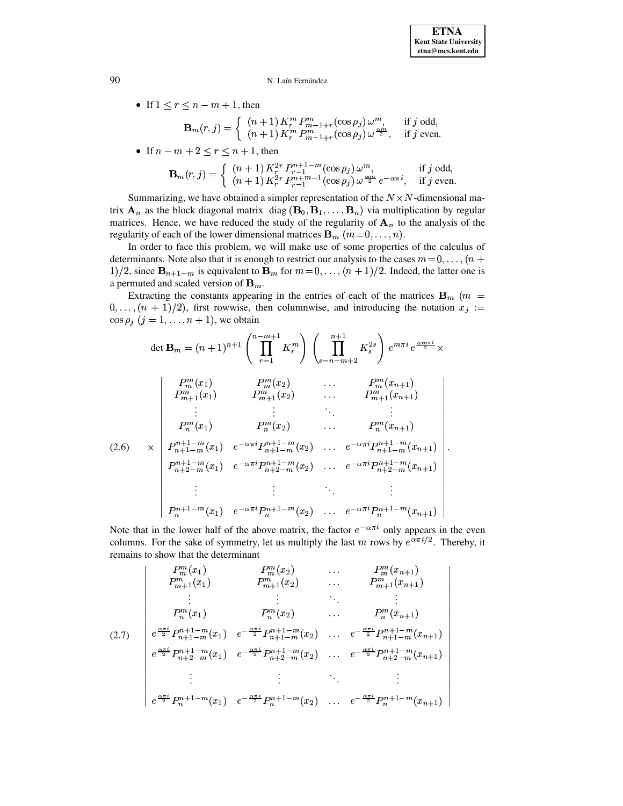o **o** and the state of the state of the state of the state of the state of the state of the state of the state of the state of the state of the state of the state of the state of the state of the state of the state of the st **o** and the state of the state of the state of the state of the state of the state of the state of the state of the state of the state of the state of the state of the state of the state of the state of the state of the st **o** and the state of the state of the state of the state of the state of the state of the state of the state of the state of the state of the state of the state of the state of the state of the state of the state of the st **o** and the state of the state of the state of the state of the state of the state of the state of the state of the state of the state of the state of the state of the state of the state of the state of the state of the st **o** and the state of the state of the state of the state of the state of the state of the state of the state of the state of the state of the state of the state of the state of the state of the state of the state of the st **of the contract of the contract of the contract of the contract of the contract of the contract of the contract of the contract of the contract of the contract of the contract of the contract of the contract of the contra of the contract of the contract of the contract of the contract of the contract of the contract of the contract of the contract of the contract of the contract of the contract of the contract of the contract of the contra of the contract of the contract of the contract of the contract of the contract of the contract of the contract of the contract of the contract of the contract of the contract of the contract of the contract of the contra of the contract of the contract of the contract of the contract of the contract of the contract of the contract of the contract of the contract of the contract of the contract of the contract of the contract of the contra of the contract of the contract of the contract of the contract of the contract of the contract of the contract of the contract of the contract of the contract of the contract of the contract of the contract of the contra of the contract of the contract of the contract of the contract of the contract of the contract of the contract of the contract of the contract of the contract of the contract of the contract of the contract of the contra of the contract of the contract of the contract of the contract of the contract of the contract of the contract of the contract of the contract of the contract of the contract of the contract of the contract of the contra of the contract of the contract of the contract of the contract of the contract of the contract of the contract of the contract of the contract of the contract of the contract of the contract of the contract of the contra of the contract of the contract of the contract of the contract of the contract of the contract of the contract of the contract of the contract of the contract of the contract of the contract of the contract of the contra of the contract of the contract of the contract of the contract of the contract of the contract of the contract of the contract of the contract of the contract of the contract of the contract of the contract of the contra of the contract of the contract of the contract of the contract of the contract of the contract of the contract of the contract of the contract of the contract of the contract of the contract of the contract of the contra o** and the state of the state of the state of the state of the state of the state of the state of the state of the state of the state of the state of the state of the state of the state of the state of the state of the st **o** and the state of the state of the state of the state of the state of the state of the state of the state of the state of the state of the state of the state of the state of the state of the state of the state of the st **o** and the state of the state of the state of the state of the state of the state of the state of the state of the state of the state of the state of the state of the state of the state of the state of the state of the st **o** and the state of the state of the state of the state of the state of the state of the state of the state of the state of the state of the state of the state of the state of the state of the state of the state of the st **o** and the state of the state of the state of the state of the state of the state of the state of the state of the state of the state of the state of the state of the state of the state of the state of the state of the st **of the contract of the contract of the contract of the contract of the contract of the contract of the contract of the contract of the contract of the contract of the contract of the contract of the contract of the contra** 

## 90 N. Laín Fernández

• If  $1 \le r \le n-m+1$ , then

$$
\mathbf{B}_{m}(r,j) = \begin{cases} (n+1) K_{r}^{m} P_{m-1+r}^{m} (\cos \rho_{j}) \omega^{m}, & \text{if } j \text{ odd}, \\ (n+1) K_{r}^{m} P_{m-1+r}^{m} (\cos \rho_{j}) \omega^{\frac{\alpha m}{2}}, & \text{if } j \text{ even}. \end{cases}
$$
  
• If  $n-m+2 \le r \le n+1$ , then

• If 
$$
n-m+2 \leq r \leq n+1
$$
, then

$$
\mathbf{B}_{m}(r, j) = \begin{cases} (n+1) K_{r}^{2r} P_{r-1}^{n+1-m}(\cos \rho_{j}) \omega^{m}, & \text{if } j \text{ odd}, \\ (n+1) K_{r}^{2r} P_{r-1}^{n+m-1}(\cos \rho_{j}) \omega^{\frac{\alpha m}{2}} e^{-\alpha \pi i}, & \text{if } j \text{ even}. \end{cases}
$$
  
Summarizing, we have obtained a simpler representation of the  $N \times N$ -dimensional ma-

trix  $\mathbf{A}_n$  as the block diagonal matrix diag  $(\mathbf{B}_0, \mathbf{B}_1, \dots, \mathbf{B}_n)$  via multiplication by regular  $\sum_{n=1}^{\infty}$ . Hence, we have reduced the study of  $\sum_{n=1}^{\infty}$  of  $\sum_{n=1}^{\infty}$  of  $\sum_{n=1}^{\infty}$  to the analysis of the regularity of stars in the regularity of stars in the regularity of stars in the regularity of regularity of each of the lower dimensional matrices  ${\bf B}_m$   $(m = 0, \ldots, n)$ .

In order to face this problem, we will make use of some properties of the calculus of determinants. Note also that it is enough to restrict our analysis to the cases  $m = 0, \ldots, (n +$ 1)/2, since  $\mathbf{B}_{n+1-m}$  is equivalent to  $\mathbf{B}_m$  for  $m = 0, \ldots, (n+1)/2$ . Indeed, the latter one is<br>a permuted and scaled version of  $\mathbf{B}_m$ . a permuted and scaled version of  $\mathbf{B}_m$ .

Extracting the constants appearing in the entries of each of the matrices  $\mathbf{B}_{m}$  ( $m =$  $(0,\ldots,(n + 1)/2)$ , first rowwise, then columnwise, and introducing the notation  $x_j :=$  $\cos \rho_j$   $(j = 1, \ldots, n + 1)$ , we obtain

det 
$$
\mathbf{B}_m = (n+1)^{n+1} \left( \prod_{r=1}^{n-m+1} K_r^m \right) \left( \prod_{s=n-m+2}^{n+1} K_s^{2s} \right) e^{m\pi i} e^{\frac{\alpha m \pi i}{2}} \times
$$
  
\n
$$
\begin{vmatrix}\nP_m^m(x_1) & P_m^m(x_2) & \cdots & P_m^m(x_{n+1}) \\
P_{m+1}^m(x_1) & P_{m+1}^m(x_2) & \cdots & P_{m+1}^m(x_{n+1}) \\
\vdots & \vdots & \ddots & \vdots \\
P_n^m(x_1) & P_n^m(x_2) & \cdots & P_n^m(x_{n+1}) \\
P_{n+1-m}^m(x_1) & e^{-\alpha \pi i} P_{n+1-m}^{n+1-m}(x_2) & \cdots & e^{-\alpha \pi i} P_{n+1-m}^{n+1-m}(x_{n+1}) \\
P_{n+2-m}^{n+1-m}(x_1) & e^{-\alpha \pi i} P_{n+2-m}^{n+1-m}(x_2) & \cdots & e^{-\alpha \pi i} P_{n+2-m}^{n+1-m}(x_{n+1}) \\
\vdots & \vdots & \ddots & \vdots \\
P_n^{n+1-m}(x_1) & e^{-\alpha \pi i} P_n^{n+1-m}(x_2) & \cdots & e^{-\alpha \pi i} P_n^{n+1-m}(x_{n+1})\n\end{vmatrix}
$$
  
\nNote that in the lower half of the above matrix, the factor  $e^{-\alpha \pi i}$  only appears in the even

columns. For the sake of symmetry, let us multiply the last m rows by  $e^{\alpha \pi i/2}$ . Thereby, it remains to show that the determinant ®

$$
(2.7) \quad\n\begin{aligned}\nP_m^m(x_1) & P_m^m(x_2) & \cdots & P_m^m(x_{n+1}) \\
P_{m+1}^m(x_1) & P_{m+1}^m(x_2) & \cdots & P_{m+1}^m(x_{n+1}) \\
&\vdots &\vdots &\ddots &\vdots \\
P_n^m(x_1) & P_n^m(x_2) & \cdots & P_n^m(x_{n+1}) \\
e^{\frac{\alpha \pi i}{2}} P_{n+1-m}^{n+1-m}(x_1) & e^{-\frac{\alpha \pi i}{2}} P_{n+1-m}^{n+1-m}(x_2) & \cdots & e^{-\frac{\alpha \pi i}{2}} P_{n+1-m}^{n+1-m}(x_{n+1}) \\
&\vdots &\vdots &\ddots &\vdots \\
e^{\frac{\alpha \pi i}{2}} P_n^{n+1-m}(x_1) & e^{-\frac{\alpha \pi i}{2}} P_{n+2-m}^{n+1-m}(x_2) & \cdots & e^{-\frac{\alpha \pi i}{2}} P_n^{n+1-m}(x_{n+1}) \\
&\vdots &\vdots &\ddots &\vdots \\
e^{\frac{\alpha \pi i}{2}} P_n^{n+1-m}(x_1) & e^{-\frac{\alpha \pi i}{2}} P_n^{n+1-m}(x_2) & \cdots & e^{-\frac{\alpha \pi i}{2}} P_n^{n+1-m}(x_{n+1})\n\end{aligned}
$$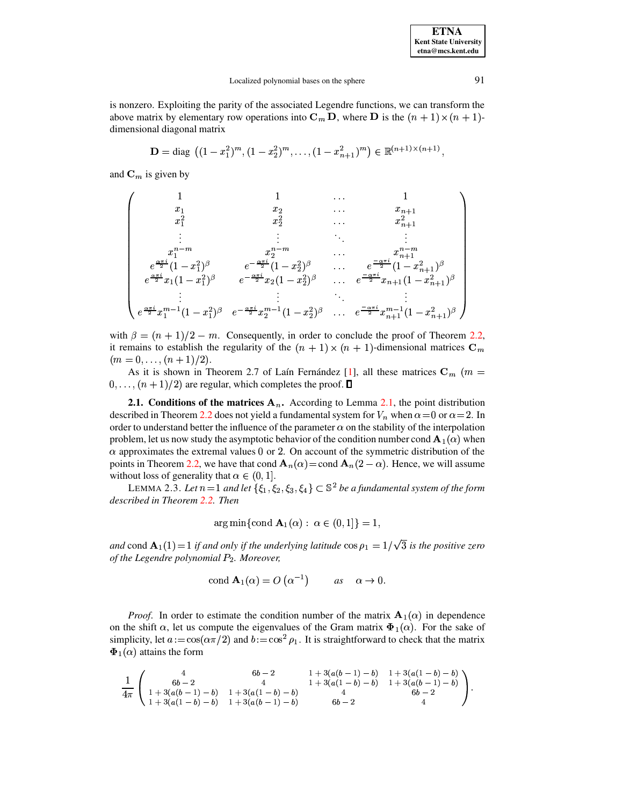**ETNA Kent State University**  $etna@mcs. kent.edu$ 

is nonzero. Exploiting the parity of the associated Legendre functions, we can transform the above matrix by elementary row operations into  $C_m D$ , where D is the  $(n + 1) \times (n + 1)$ dimensional diagonal matrix

$$
\mathbf{D} = \text{diag} \left( (1 - x_1^2)^m, (1 - x_2^2)^m, \dots, (1 - x_{n+1}^2)^m \right) \in \mathbb{R}^{(n+1) \times (n+1)}
$$

and  $\mathbf{C}_m$  is given by

$$
\begin{pmatrix}\n1 & 1 & \dots & 1 \\
x_1 & x_2 & \dots & x_{n+1} \\
x_1^2 & x_2^2 & \dots & x_{n+1}^2 \\
\vdots & \vdots & \ddots & \vdots \\
x_1^{n-m} & x_2^{n-m} & \dots & x_{n+1}^{n-m} \\
e^{\frac{\alpha \pi i}{2}}(1-x_1^2)^\beta & e^{-\frac{\alpha \pi i}{2}}(1-x_2^2)^\beta & \dots & e^{\frac{-\alpha \pi i}{2}}(1-x_{n+1}^2)^\beta \\
e^{\frac{\alpha \pi i}{2}}x_1(1-x_1^2)^\beta & e^{-\frac{\alpha \pi i}{2}}x_2(1-x_2^2)^\beta & \dots & e^{\frac{-\alpha \pi i}{2}}x_{n+1}(1-x_{n+1}^2)^\beta \\
\vdots & \vdots & \ddots & \vdots \\
e^{\frac{\alpha \pi i}{2}}x_1^{m-1}(1-x_1^2)^\beta & e^{-\frac{\alpha \pi i}{2}}x_2^{m-1}(1-x_2^2)^\beta & \dots & e^{\frac{-\alpha \pi i}{2}}x_{n+1}^{m-1}(1-x_{n+1}^2)^\beta\n\end{pmatrix}
$$

with  $\beta = (n + 1)/2 - m$ . Consequently, in order to conclude the proof of Theorem 2.2, it remains to establish the regularity of the  $(n + 1) \times (n + 1)$ -dimensional matrices  $C_m$  $(m = 0, \ldots, (n + 1)/2).$ 

As it is shown in Theorem 2.7 of Laín Fernández [1], all these matrices  $\mathbf{C}_m$  (*m* =  $0, \ldots, (n+1)/2$  are regular, which completes the proof.  $\Box$ 

2.1. Conditions of the matrices  $A_n$ . According to Lemma 2.1, the point distribution described in Theorem 2.2 does not yield a fundamental system for  $V_n$  when  $\alpha = 0$  or  $\alpha = 2$ . In order to understand better the influence of the parameter  $\alpha$  on the stability of the interpolation problem, let us now study the asymptotic behavior of the condition number cond  $A_1(\alpha)$  when  $\alpha$  approximates the extremal values 0 or 2. On account of the symmetric distribution of the points in Theorem 2.2, we have that cond  $A_n(\alpha) =$ cond  $A_n(2-\alpha)$ . Hence, we will assume without loss of generality that  $\alpha \in (0,1]$ .

<span id="page-7-0"></span>LEMMA 2.3. Let  $n=1$  and let  $\{\xi_1,\xi_2,\xi_3,\xi_4\}\subset \mathbb{S}^2$  be a fundamental system of the form described in Theorem 2.2. Then

$$
\arg\min\{\text{cond }\mathbf{A}_1(\alpha): \ \alpha \in (0,1]\} = 1.
$$

and cond  $\mathbf{A}_1(1) = 1$  if and only if the underlying latitude  $\cos \rho_1 = 1/\sqrt{3}$  is the positive zero of the Legendre polynomial  $P_2$ . Moreover,

$$
\text{cond } \mathbf{A}_1(\alpha) = O\left(\alpha^{-1}\right) \qquad \text{as} \quad \alpha \to 0.
$$

*Proof.* In order to estimate the condition number of the matrix  $A_1(\alpha)$  in dependence on the shift  $\alpha$ , let us compute the eigenvalues of the Gram matrix  $\Phi_1(\alpha)$ . For the sake of simplicity, let  $a := \cos(\alpha \pi/2)$  and  $b := \cos^2 \rho_1$ . It is straightforward to check that the matrix  $\Phi_1(\alpha)$  attains the form

$$
\frac{1}{4\pi}\left(\begin{array}{cccc} 4 & 6b-2 & 1+3(a(b-1)-b) & 1+3(a(1-b)-b) \\ 6b-2 & 4 & 1+3(a(1-b)-b) & 1+3(a(b-1)-b) \\ 1+3(a(b-1)-b) & 1+3(a(1-b)-b) & 4 & 6b-2 \\ 1+3(a(1-b)-b) & 1+3(a(b-1)-b) & 6b-2 & 4 \end{array}\right).
$$

91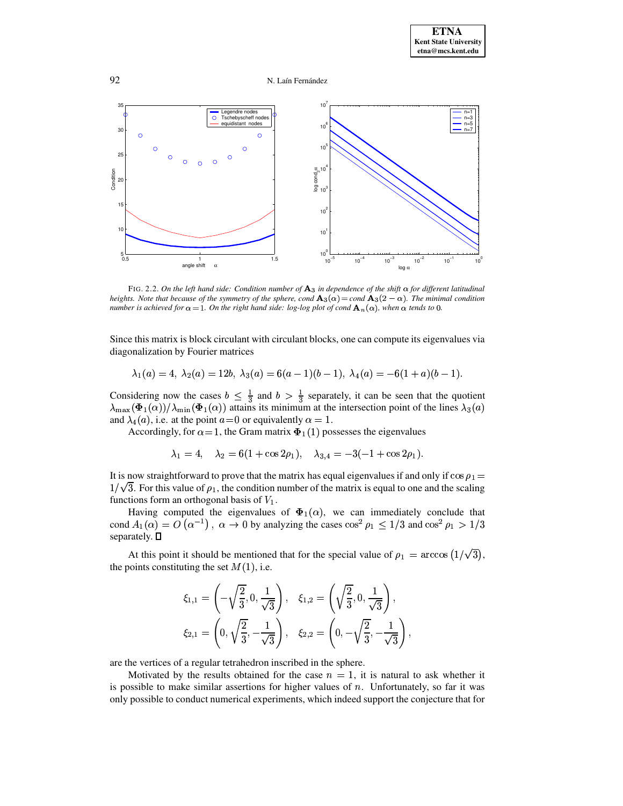92 N. Laín Fernández



<span id="page-8-0"></span>FIG. 2.2. *On the left hand side: Condition number of in dependence of the shift for different latitudinal heights. Note that because of the symmetry of the sphere, cond*  $\mathbf{A}_3(\alpha) = \text{cond } \mathbf{A}_3(2-\alpha)$ *. The minimal condition* number is achieved for  $\alpha$  = 1. On the right hand side: log-log plot of cond  $\mathbf{A}_n(\alpha)$ , when  $\alpha$  tends to 0.

Since this matrix is block circulant with circulant blocks, one can compute its eigenvalues via diagonalization by Fourier matrices

$$
\lambda_1(a)=4, \ \lambda_2(a)=12b, \ \lambda_3(a)=6(a-1)(b-1), \ \lambda_4(a)=-6(1+a)(b-1).
$$

Considering now the cases  $b \leq \frac{1}{3}$  and  $b > 1$ ns its m and  $b > \frac{1}{3}$  separately um at th Considering now the cases  $b \leq \frac{1}{3}$  and  $b > \frac{1}{3}$  separately, it can be seen that the quotient  $\lambda_{\max}(\Phi_1(\alpha))/\lambda_{\min}(\Phi_1(\alpha))$  attains its minimum at the intersection point of the lines  $\lambda_3(a)$ and  $\lambda_4(a)$ , i.e. at the point  $a=0$  or equivalently  $\alpha=1$ .

Accordingly, for  $\alpha = 1$ , the Gram matrix  $\Phi_1(1)$  possesses the eigenvalues

$$
\lambda_1 = 4, \quad \lambda_2 = 6(1 + \cos 2\rho_1), \quad \lambda_{3,4} = -3(-1 + \cos 2\rho_1).
$$

It is now straightforward to prove that the matrix has equal eigenvalues if and only if  $\cos \rho_1 =$  $\frac{1}{\log n}$  $1/\sqrt{3}$ . For this value of  $\rho_1$ , the condition number of the matrix is equal to one and the scaling functions form an orthogonal basis of  $V_1$ .

Having computed the eigenvalues of  $\Phi_1(\alpha)$ , we can immediately conclude that cond  $A_1(\alpha) = O(\alpha^{-1})$ ,  $\alpha \to 0$  by analyzing the cases  $\cos^2 \rho_1 \le 1/3$  and  $\cos^2 \rho_1 > 1/3$  separately.  $\Box$ separately.  $\square$ 

At this point it should be mentioned that for the special value of  $\rho_1 = \arccos(1/\sqrt{3})$ , ooints constituting the set  $M(1)$ , i.e.  $\sim$   $\sim$   $\sim$  $),$ the points constituting the set  $M(1)$ , i.e.

$$
\xi_{1,1} = \left(-\sqrt{\frac{2}{3}}, 0, \frac{1}{\sqrt{3}}\right), \quad \xi_{1,2} = \left(\sqrt{\frac{2}{3}}, 0, \frac{1}{\sqrt{3}}\right),
$$

$$
\xi_{2,1} = \left(0, \sqrt{\frac{2}{3}}, -\frac{1}{\sqrt{3}}\right), \quad \xi_{2,2} = \left(0, -\sqrt{\frac{2}{3}}, -\frac{1}{\sqrt{3}}\right),
$$

are the vertices of a regular tetrahedron inscribed in the sphere.

Motivated by the results obtained for the case  $n = 1$ , it is natural to ask whether it is possible to make similar assertions for higher values of  $n$ . Unfortunately, so far it was only possible to conduct numerical experiments, which indeed support the conjecture that for